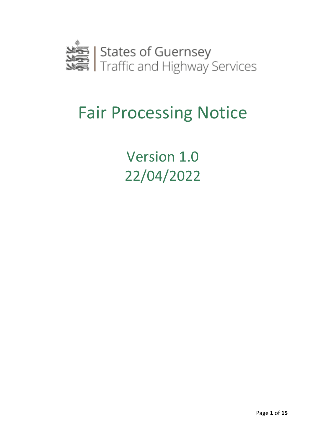

# Fair Processing Notice

Version 1.0 22/04/2022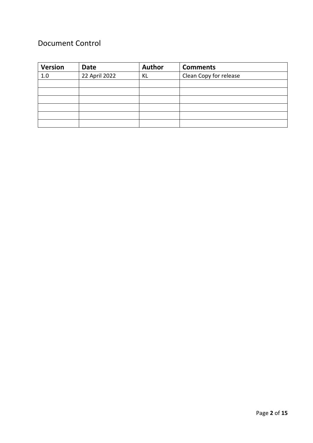### Document Control

| <b>Version</b> | <b>Date</b>   | <b>Author</b> | <b>Comments</b>        |
|----------------|---------------|---------------|------------------------|
| 1.0            | 22 April 2022 | ΚL            | Clean Copy for release |
|                |               |               |                        |
|                |               |               |                        |
|                |               |               |                        |
|                |               |               |                        |
|                |               |               |                        |
|                |               |               |                        |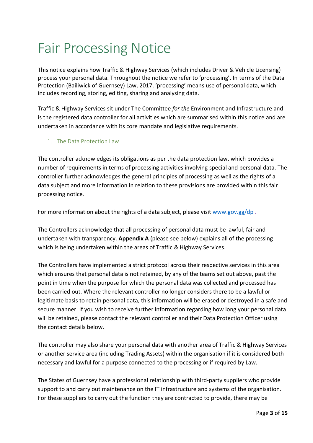## Fair Processing Notice

This notice explains how Traffic & Highway Services (which includes Driver & Vehicle Licensing) process your personal data. Throughout the notice we refer to 'processing'. In terms of the Data Protection (Bailiwick of Guernsey) Law, 2017, 'processing' means use of personal data, which includes recording, storing, editing, sharing and analysing data.

Traffic & Highway Services sit under The Committee *for the* Environment and Infrastructure and is the registered data controller for all activities which are summarised within this notice and are undertaken in accordance with its core mandate and legislative requirements.

#### 1. The Data Protection Law

The controller acknowledges its obligations as per the data protection law, which provides a number of requirements in terms of processing activities involving special and personal data. The controller further acknowledges the general principles of processing as well as the rights of a data subject and more information in relation to these provisions are provided within this fair processing notice.

For more information about the rights of a data subject, please visit [www.gov.gg/dp](http://www.gov.gg/dp) .

The Controllers acknowledge that all processing of personal data must be lawful, fair and undertaken with transparency. **Appendix A** (please see below) explains all of the processing which is being undertaken within the areas of Traffic & Highway Services.

The Controllers have implemented a strict protocol across their respective services in this area which ensures that personal data is not retained, by any of the teams set out above, past the point in time when the purpose for which the personal data was collected and processed has been carried out. Where the relevant controller no longer considers there to be a lawful or legitimate basis to retain personal data, this information will be erased or destroyed in a safe and secure manner. If you wish to receive further information regarding how long your personal data will be retained, please contact the relevant controller and their Data Protection Officer using the contact details below.

The controller may also share your personal data with another area of Traffic & Highway Services or another service area (including Trading Assets) within the organisation if it is considered both necessary and lawful for a purpose connected to the processing or if required by Law.

The States of Guernsey have a professional relationship with third-party suppliers who provide support to and carry out maintenance on the IT infrastructure and systems of the organisation. For these suppliers to carry out the function they are contracted to provide, there may be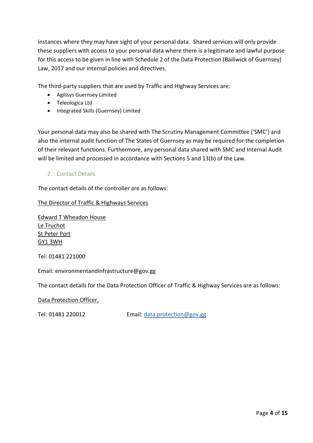instances where they may have sight of your personal data. Shared services will only provide these suppliers with access to your personal data where there is a legitimate and lawful purpose for this access to be given in line with Schedule 2 of the Data Protection (Bailiwick of Guernsey) Law, 2017 and our internal policies and directives.

The third-party suppliers that are used by Traffic and Highway Services are:

- Agilisys Guernsey Limited
- Teleologica Ltd
- Integrated Skills (Guernsey) Limited

Your personal data may also be shared with The Scrutiny Management Committee ('SMC') and also the internal audit function of The States of Guernsey as may be required for the completion of their relevant functions. Furthermore, any personal data shared with SMC and Internal Audit will be limited and processed in accordance with Sections 5 and 13(b) of the Law.

2. Contact Details

The contact details of the controller are as follows:

The Director of Traffic & Highways Services

Edward T Wheadon House Le Truchot St Peter Port GY1 3WH

Tel: 01481 221000

Email: environmentandinfrastructure@gov.gg

The contact details for the Data Protection Officer of Traffic & Highway Services are as follows:

#### Data Protection Officer,

Tel: 01481 220012 Email: [data.protection@gov.gg](mailto:data.protection@gov.gg)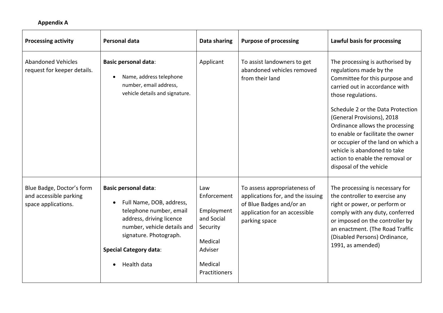#### **Appendix A**

| <b>Processing activity</b>                                                 | Personal data                                                                                                                                                                                                                        | Data sharing                                                                                                 | <b>Purpose of processing</b>                                                                                                                    | Lawful basis for processing                                                                                                                                                                                                                                                                                                                                                                                                         |
|----------------------------------------------------------------------------|--------------------------------------------------------------------------------------------------------------------------------------------------------------------------------------------------------------------------------------|--------------------------------------------------------------------------------------------------------------|-------------------------------------------------------------------------------------------------------------------------------------------------|-------------------------------------------------------------------------------------------------------------------------------------------------------------------------------------------------------------------------------------------------------------------------------------------------------------------------------------------------------------------------------------------------------------------------------------|
| <b>Abandoned Vehicles</b><br>request for keeper details.                   | <b>Basic personal data:</b><br>Name, address telephone<br>number, email address,<br>vehicle details and signature.                                                                                                                   | Applicant                                                                                                    | To assist landowners to get<br>abandoned vehicles removed<br>from their land                                                                    | The processing is authorised by<br>regulations made by the<br>Committee for this purpose and<br>carried out in accordance with<br>those regulations.<br>Schedule 2 or the Data Protection<br>(General Provisions), 2018<br>Ordinance allows the processing<br>to enable or facilitate the owner<br>or occupier of the land on which a<br>vehicle is abandoned to take<br>action to enable the removal or<br>disposal of the vehicle |
| Blue Badge, Doctor's form<br>and accessible parking<br>space applications. | <b>Basic personal data:</b><br>Full Name, DOB, address,<br>telephone number, email<br>address, driving licence<br>number, vehicle details and<br>signature. Photograph.<br><b>Special Category data:</b><br>Health data<br>$\bullet$ | Law<br>Enforcement<br>Employment<br>and Social<br>Security<br>Medical<br>Adviser<br>Medical<br>Practitioners | To assess appropriateness of<br>applications for, and the issuing<br>of Blue Badges and/or an<br>application for an accessible<br>parking space | The processing is necessary for<br>the controller to exercise any<br>right or power, or perform or<br>comply with any duty, conferred<br>or imposed on the controller by<br>an enactment. (The Road Traffic<br>(Disabled Persons) Ordinance,<br>1991, as amended)                                                                                                                                                                   |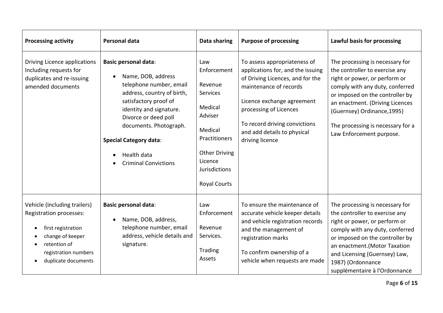| <b>Processing activity</b>                                                                                                                                       | Personal data                                                                                                                                                                                                                                                                                   | Data sharing                                                                                                                                                           | <b>Purpose of processing</b>                                                                                                                                                                                                                                               | Lawful basis for processing                                                                                                                                                                                                                                                                                 |
|------------------------------------------------------------------------------------------------------------------------------------------------------------------|-------------------------------------------------------------------------------------------------------------------------------------------------------------------------------------------------------------------------------------------------------------------------------------------------|------------------------------------------------------------------------------------------------------------------------------------------------------------------------|----------------------------------------------------------------------------------------------------------------------------------------------------------------------------------------------------------------------------------------------------------------------------|-------------------------------------------------------------------------------------------------------------------------------------------------------------------------------------------------------------------------------------------------------------------------------------------------------------|
| Driving Licence applications<br>Including requests for<br>duplicates and re-issuing<br>amended documents                                                         | <b>Basic personal data:</b><br>Name, DOB, address<br>telephone number, email<br>address, country of birth,<br>satisfactory proof of<br>identity and signature.<br>Divorce or deed poll<br>documents. Photograph.<br><b>Special Category data:</b><br>Health data<br><b>Criminal Convictions</b> | Law<br>Enforcement<br>Revenue<br>Services<br>Medical<br>Adviser<br>Medical<br>Practitioners<br><b>Other Driving</b><br>Licence<br>Jurisdictions<br><b>Royal Courts</b> | To assess appropriateness of<br>applications for, and the issuing<br>of Driving Licences, and for the<br>maintenance of records<br>Licence exchange agreement<br>processing of Licences<br>To record driving convictions<br>and add details to physical<br>driving licence | The processing is necessary for<br>the controller to exercise any<br>right or power, or perform or<br>comply with any duty, conferred<br>or imposed on the controller by<br>an enactment. (Driving Licences<br>(Guernsey) Ordinance, 1995)<br>The processing is necessary for a<br>Law Enforcement purpose. |
| Vehicle (including trailers)<br>Registration processes:<br>first registration<br>change of keeper<br>retention of<br>registration numbers<br>duplicate documents | <b>Basic personal data:</b><br>Name, DOB, address,<br>telephone number, email<br>address, vehicle details and<br>signature.                                                                                                                                                                     | Law<br>Enforcement<br>Revenue<br>Services.<br>Trading<br>Assets                                                                                                        | To ensure the maintenance of<br>accurate vehicle keeper details<br>and vehicle registration records<br>and the management of<br>registration marks<br>To confirm ownership of a<br>vehicle when requests are made                                                          | The processing is necessary for<br>the controller to exercise any<br>right or power, or perform or<br>comply with any duty, conferred<br>or imposed on the controller by<br>an enactment.(Motor Taxation<br>and Licensing (Guernsey) Law,<br>1987) (Ordonnance<br>supplémentaire à l'Ordonnance             |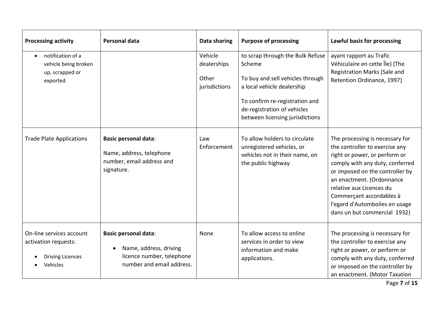| <b>Processing activity</b>                                                              | <b>Personal data</b>                                                                                            | Data sharing                                     | <b>Purpose of processing</b>                                                                                                                                                                                     | Lawful basis for processing                                                                                                                                                                                                                                                                                                     |
|-----------------------------------------------------------------------------------------|-----------------------------------------------------------------------------------------------------------------|--------------------------------------------------|------------------------------------------------------------------------------------------------------------------------------------------------------------------------------------------------------------------|---------------------------------------------------------------------------------------------------------------------------------------------------------------------------------------------------------------------------------------------------------------------------------------------------------------------------------|
| notification of a<br>$\bullet$<br>vehicle being broken<br>up, scrapped or<br>exported.  |                                                                                                                 | Vehicle<br>dealerships<br>Other<br>jurisdictions | to scrap through the Bulk Refuse<br>Scheme<br>To buy and sell vehicles through<br>a local vehicle dealership<br>To confirm re-registration and<br>de-registration of vehicles<br>between licensing jurisdictions | ayant rapport au Trafic<br>Véhiculaire en cette Île) (The<br>Registration Marks (Sale and<br>Retention Ordinance, 1997)                                                                                                                                                                                                         |
| <b>Trade Plate Applications</b>                                                         | <b>Basic personal data:</b><br>Name, address, telephone<br>number, email address and<br>signature.              | Law<br>Enforcement                               | To allow holders to circulate<br>unregistered vehicles, or<br>vehicles not in their name, on<br>the public highway                                                                                               | The processing is necessary for<br>the controller to exercise any<br>right or power, or perform or<br>comply with any duty, conferred<br>or imposed on the controller by<br>an enactment. (Ordonnance<br>relative aux Licences du<br>Commerçant accordables à<br>l'egard d'Automboiles en usage<br>dans un but commercial 1932) |
| On-line services account<br>activation requests:<br><b>Driving Licences</b><br>Vehicles | <b>Basic personal data:</b><br>Name, address, driving<br>licence number, telephone<br>number and email address. | None                                             | To allow access to online<br>services in order to view<br>information and make<br>applications.                                                                                                                  | The processing is necessary for<br>the controller to exercise any<br>right or power, or perform or<br>comply with any duty, conferred<br>or imposed on the controller by<br>an enactment. (Motor Taxation                                                                                                                       |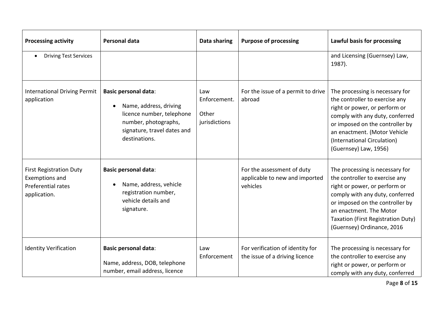| <b>Processing activity</b>                                                                    | Personal data                                                                                                                                              | Data sharing                                  | <b>Purpose of processing</b>                                             | Lawful basis for processing                                                                                                                                                                                                                                             |
|-----------------------------------------------------------------------------------------------|------------------------------------------------------------------------------------------------------------------------------------------------------------|-----------------------------------------------|--------------------------------------------------------------------------|-------------------------------------------------------------------------------------------------------------------------------------------------------------------------------------------------------------------------------------------------------------------------|
| <b>Driving Test Services</b><br>$\bullet$                                                     |                                                                                                                                                            |                                               |                                                                          | and Licensing (Guernsey) Law,<br>1987).                                                                                                                                                                                                                                 |
| <b>International Driving Permit</b><br>application                                            | <b>Basic personal data:</b><br>Name, address, driving<br>licence number, telephone<br>number, photographs,<br>signature, travel dates and<br>destinations. | Law<br>Enforcement.<br>Other<br>jurisdictions | For the issue of a permit to drive<br>abroad                             | The processing is necessary for<br>the controller to exercise any<br>right or power, or perform or<br>comply with any duty, conferred<br>or imposed on the controller by<br>an enactment. (Motor Vehicle<br>(International Circulation)<br>(Guernsey) Law, 1956)        |
| <b>First Registration Duty</b><br><b>Exemptions and</b><br>Preferential rates<br>application. | <b>Basic personal data:</b><br>Name, address, vehicle<br>$\bullet$<br>registration number,<br>vehicle details and<br>signature.                            |                                               | For the assessment of duty<br>applicable to new and imported<br>vehicles | The processing is necessary for<br>the controller to exercise any<br>right or power, or perform or<br>comply with any duty, conferred<br>or imposed on the controller by<br>an enactment. The Motor<br>Taxation (First Registration Duty)<br>(Guernsey) Ordinance, 2016 |
| <b>Identity Verification</b>                                                                  | <b>Basic personal data:</b><br>Name, address, DOB, telephone<br>number, email address, licence                                                             | Law<br>Enforcement                            | For verification of identity for<br>the issue of a driving licence       | The processing is necessary for<br>the controller to exercise any<br>right or power, or perform or<br>comply with any duty, conferred                                                                                                                                   |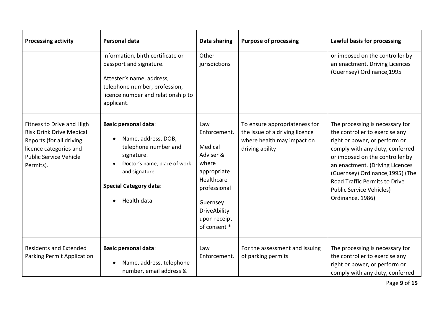| <b>Processing activity</b>                                                                                                                                       | Personal data                                                                                                                                                                                           | Data sharing                                                                                                                                                         | <b>Purpose of processing</b>                                                                                     | Lawful basis for processing                                                                                                                                                                                                                                                                                                             |
|------------------------------------------------------------------------------------------------------------------------------------------------------------------|---------------------------------------------------------------------------------------------------------------------------------------------------------------------------------------------------------|----------------------------------------------------------------------------------------------------------------------------------------------------------------------|------------------------------------------------------------------------------------------------------------------|-----------------------------------------------------------------------------------------------------------------------------------------------------------------------------------------------------------------------------------------------------------------------------------------------------------------------------------------|
|                                                                                                                                                                  | information, birth certificate or<br>passport and signature.<br>Attester's name, address,<br>telephone number, profession,<br>licence number and relationship to<br>applicant.                          | Other<br>jurisdictions                                                                                                                                               |                                                                                                                  | or imposed on the controller by<br>an enactment. Driving Licences<br>(Guernsey) Ordinance, 1995                                                                                                                                                                                                                                         |
| Fitness to Drive and High<br><b>Risk Drink Drive Medical</b><br>Reports (for all driving<br>licence categories and<br><b>Public Service Vehicle</b><br>Permits). | <b>Basic personal data:</b><br>Name, address, DOB,<br>telephone number and<br>signature.<br>Doctor's name, place of work<br>and signature.<br><b>Special Category data:</b><br>Health data<br>$\bullet$ | Law<br>Enforcement.<br>Medical<br>Adviser &<br>where<br>appropriate<br>Healthcare<br>professional<br>Guernsey<br><b>DriveAbility</b><br>upon receipt<br>of consent * | To ensure appropriateness for<br>the issue of a driving licence<br>where health may impact on<br>driving ability | The processing is necessary for<br>the controller to exercise any<br>right or power, or perform or<br>comply with any duty, conferred<br>or imposed on the controller by<br>an enactment. (Driving Licences<br>(Guernsey) Ordinance, 1995) (The<br>Road Traffic Permits to Drive<br><b>Public Service Vehicles)</b><br>Ordinance, 1986) |
| <b>Residents and Extended</b><br>Parking Permit Application                                                                                                      | <b>Basic personal data:</b><br>Name, address, telephone<br>$\bullet$<br>number, email address &                                                                                                         | Law<br>Enforcement.                                                                                                                                                  | For the assessment and issuing<br>of parking permits                                                             | The processing is necessary for<br>the controller to exercise any<br>right or power, or perform or<br>comply with any duty, conferred                                                                                                                                                                                                   |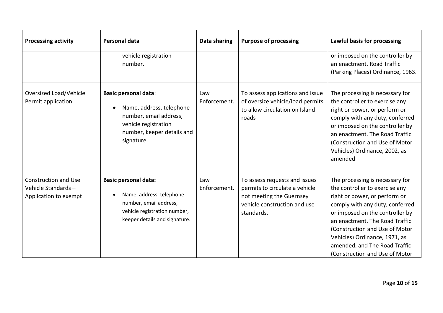| <b>Processing activity</b>                                                 | <b>Personal data</b>                                                                                                                                  | Data sharing        | <b>Purpose of processing</b>                                                                                                              | Lawful basis for processing                                                                                                                                                                                                                                                                                                                      |
|----------------------------------------------------------------------------|-------------------------------------------------------------------------------------------------------------------------------------------------------|---------------------|-------------------------------------------------------------------------------------------------------------------------------------------|--------------------------------------------------------------------------------------------------------------------------------------------------------------------------------------------------------------------------------------------------------------------------------------------------------------------------------------------------|
|                                                                            | vehicle registration<br>number.                                                                                                                       |                     |                                                                                                                                           | or imposed on the controller by<br>an enactment. Road Traffic<br>(Parking Places) Ordinance, 1963.                                                                                                                                                                                                                                               |
| Oversized Load/Vehicle<br>Permit application                               | <b>Basic personal data:</b><br>Name, address, telephone<br>number, email address,<br>vehicle registration<br>number, keeper details and<br>signature. | Law<br>Enforcement. | To assess applications and issue<br>of oversize vehicle/load permits<br>to allow circulation on Island<br>roads                           | The processing is necessary for<br>the controller to exercise any<br>right or power, or perform or<br>comply with any duty, conferred<br>or imposed on the controller by<br>an enactment. The Road Traffic<br>(Construction and Use of Motor<br>Vehicles) Ordinance, 2002, as<br>amended                                                         |
| <b>Construction and Use</b><br>Vehicle Standards-<br>Application to exempt | <b>Basic personal data:</b><br>Name, address, telephone<br>number, email address,<br>vehicle registration number,<br>keeper details and signature.    | Law<br>Enforcement. | To assess requests and issues<br>permits to circulate a vehicle<br>not meeting the Guernsey<br>vehicle construction and use<br>standards. | The processing is necessary for<br>the controller to exercise any<br>right or power, or perform or<br>comply with any duty, conferred<br>or imposed on the controller by<br>an enactment. The Road Traffic<br>(Construction and Use of Motor<br>Vehicles) Ordinance, 1971, as<br>amended, and The Road Traffic<br>(Construction and Use of Motor |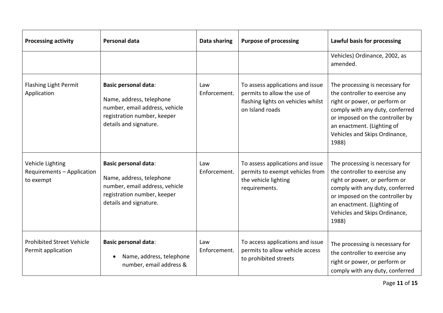| <b>Processing activity</b>                                  | Personal data                                                                                                                                      | Data sharing        | <b>Purpose of processing</b>                                                                                             | Lawful basis for processing                                                                                                                                                                                                                      |
|-------------------------------------------------------------|----------------------------------------------------------------------------------------------------------------------------------------------------|---------------------|--------------------------------------------------------------------------------------------------------------------------|--------------------------------------------------------------------------------------------------------------------------------------------------------------------------------------------------------------------------------------------------|
|                                                             |                                                                                                                                                    |                     |                                                                                                                          | Vehicles) Ordinance, 2002, as<br>amended.                                                                                                                                                                                                        |
| Flashing Light Permit<br>Application                        | <b>Basic personal data:</b><br>Name, address, telephone<br>number, email address, vehicle<br>registration number, keeper<br>details and signature. | Law<br>Enforcement. | To assess applications and issue<br>permits to allow the use of<br>flashing lights on vehicles whilst<br>on Island roads | The processing is necessary for<br>the controller to exercise any<br>right or power, or perform or<br>comply with any duty, conferred<br>or imposed on the controller by<br>an enactment. (Lighting of<br>Vehicles and Skips Ordinance,<br>1988) |
| Vehicle Lighting<br>Requirements - Application<br>to exempt | <b>Basic personal data:</b><br>Name, address, telephone<br>number, email address, vehicle<br>registration number, keeper<br>details and signature. | Law<br>Enforcement. | To assess applications and issue<br>permits to exempt vehicles from<br>the vehicle lighting<br>requirements.             | The processing is necessary for<br>the controller to exercise any<br>right or power, or perform or<br>comply with any duty, conferred<br>or imposed on the controller by<br>an enactment. (Lighting of<br>Vehicles and Skips Ordinance,<br>1988) |
| <b>Prohibited Street Vehicle</b><br>Permit application      | <b>Basic personal data:</b><br>Name, address, telephone<br>number, email address &                                                                 | Law<br>Enforcement. | To access applications and issue<br>permits to allow vehicle access<br>to prohibited streets                             | The processing is necessary for<br>the controller to exercise any<br>right or power, or perform or<br>comply with any duty, conferred                                                                                                            |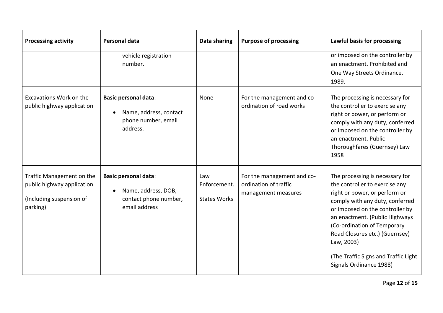| <b>Processing activity</b>                                                                      | Personal data                                                                                             | Data sharing                               | <b>Purpose of processing</b>                                               | Lawful basis for processing                                                                                                                                                                                                                                                                                                                                  |
|-------------------------------------------------------------------------------------------------|-----------------------------------------------------------------------------------------------------------|--------------------------------------------|----------------------------------------------------------------------------|--------------------------------------------------------------------------------------------------------------------------------------------------------------------------------------------------------------------------------------------------------------------------------------------------------------------------------------------------------------|
|                                                                                                 | vehicle registration<br>number.                                                                           |                                            |                                                                            | or imposed on the controller by<br>an enactment. Prohibited and<br>One Way Streets Ordinance,<br>1989.                                                                                                                                                                                                                                                       |
| Excavations Work on the<br>public highway application                                           | <b>Basic personal data:</b><br>Name, address, contact<br>phone number, email<br>address.                  | None                                       | For the management and co-<br>ordination of road works                     | The processing is necessary for<br>the controller to exercise any<br>right or power, or perform or<br>comply with any duty, conferred<br>or imposed on the controller by<br>an enactment. Public<br>Thoroughfares (Guernsey) Law<br>1958                                                                                                                     |
| Traffic Management on the<br>public highway application<br>(Including suspension of<br>parking) | <b>Basic personal data:</b><br>Name, address, DOB,<br>$\bullet$<br>contact phone number,<br>email address | Law<br>Enforcement.<br><b>States Works</b> | For the management and co-<br>ordination of traffic<br>management measures | The processing is necessary for<br>the controller to exercise any<br>right or power, or perform or<br>comply with any duty, conferred<br>or imposed on the controller by<br>an enactment. (Public Highways<br>(Co-ordination of Temporary<br>Road Closures etc.) (Guernsey)<br>Law, 2003)<br>(The Traffic Signs and Traffic Light<br>Signals Ordinance 1988) |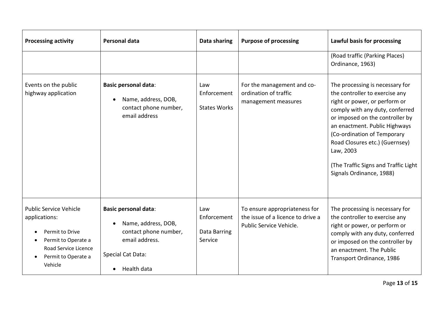| <b>Processing activity</b>                                                                                                                                      | Personal data                                                                                                                                  | Data sharing                                  | <b>Purpose of processing</b>                                                                  | Lawful basis for processing                                                                                                                                                                                                                                                                                                                                 |
|-----------------------------------------------------------------------------------------------------------------------------------------------------------------|------------------------------------------------------------------------------------------------------------------------------------------------|-----------------------------------------------|-----------------------------------------------------------------------------------------------|-------------------------------------------------------------------------------------------------------------------------------------------------------------------------------------------------------------------------------------------------------------------------------------------------------------------------------------------------------------|
|                                                                                                                                                                 |                                                                                                                                                |                                               |                                                                                               | (Road traffic (Parking Places)<br>Ordinance, 1963)                                                                                                                                                                                                                                                                                                          |
| Events on the public<br>highway application                                                                                                                     | <b>Basic personal data:</b><br>Name, address, DOB,<br>contact phone number,<br>email address                                                   | Law<br>Enforcement<br><b>States Works</b>     | For the management and co-<br>ordination of traffic<br>management measures                    | The processing is necessary for<br>the controller to exercise any<br>right or power, or perform or<br>comply with any duty, conferred<br>or imposed on the controller by<br>an enactment. Public Highways<br>(Co-ordination of Temporary<br>Road Closures etc.) (Guernsey)<br>Law, 2003<br>(The Traffic Signs and Traffic Light<br>Signals Ordinance, 1988) |
| <b>Public Service Vehicle</b><br>applications:<br>Permit to Drive<br>Permit to Operate a<br>Road Service Licence<br>Permit to Operate a<br>$\bullet$<br>Vehicle | <b>Basic personal data:</b><br>Name, address, DOB,<br>contact phone number,<br>email address.<br>Special Cat Data:<br>Health data<br>$\bullet$ | Law<br>Enforcement<br>Data Barring<br>Service | To ensure appropriateness for<br>the issue of a licence to drive a<br>Public Service Vehicle. | The processing is necessary for<br>the controller to exercise any<br>right or power, or perform or<br>comply with any duty, conferred<br>or imposed on the controller by<br>an enactment. The Public<br>Transport Ordinance, 1986                                                                                                                           |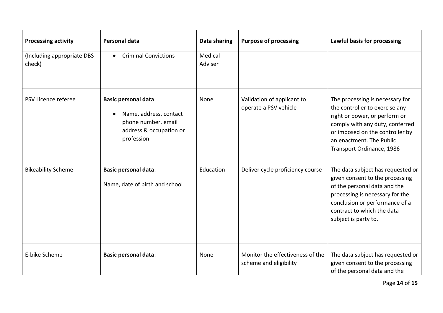| <b>Processing activity</b>           | Personal data                                                                                                                      | Data sharing       | <b>Purpose of processing</b>                               | Lawful basis for processing                                                                                                                                                                                                       |
|--------------------------------------|------------------------------------------------------------------------------------------------------------------------------------|--------------------|------------------------------------------------------------|-----------------------------------------------------------------------------------------------------------------------------------------------------------------------------------------------------------------------------------|
| (Including appropriate DBS<br>check) | <b>Criminal Convictions</b><br>$\bullet$                                                                                           | Medical<br>Adviser |                                                            |                                                                                                                                                                                                                                   |
| PSV Licence referee                  | <b>Basic personal data:</b><br>Name, address, contact<br>$\bullet$<br>phone number, email<br>address & occupation or<br>profession | None               | Validation of applicant to<br>operate a PSV vehicle        | The processing is necessary for<br>the controller to exercise any<br>right or power, or perform or<br>comply with any duty, conferred<br>or imposed on the controller by<br>an enactment. The Public<br>Transport Ordinance, 1986 |
| <b>Bikeability Scheme</b>            | <b>Basic personal data:</b><br>Name, date of birth and school                                                                      | Education          | Deliver cycle proficiency course                           | The data subject has requested or<br>given consent to the processing<br>of the personal data and the<br>processing is necessary for the<br>conclusion or performance of a<br>contract to which the data<br>subject is party to.   |
| E-bike Scheme                        | <b>Basic personal data:</b>                                                                                                        | None               | Monitor the effectiveness of the<br>scheme and eligibility | The data subject has requested or<br>given consent to the processing<br>of the personal data and the                                                                                                                              |